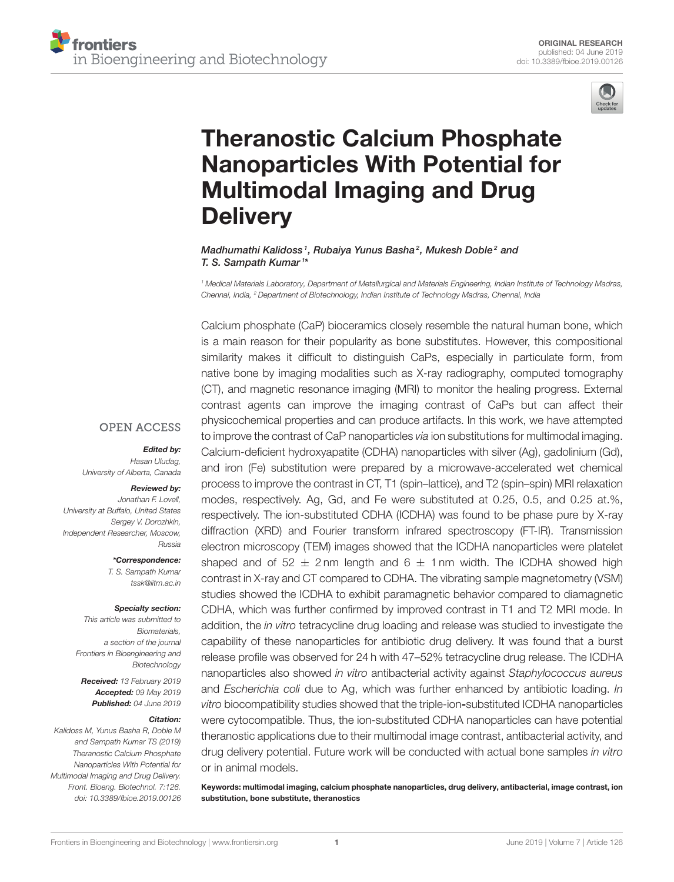

# Theranostic Calcium Phosphate [Nanoparticles With Potential for](https://www.frontiersin.org/articles/10.3389/fbioe.2019.00126/full) Multimodal Imaging and Drug **Delivery**

#### Madhumathi Kalidoss<sup>1</sup>, Rubaiya Yunus Basha<sup>2</sup>, Mukesh Doble<sup>2</sup> and [T. S. Sampath Kumar](http://loop.frontiersin.org/people/176913/overview)<sup>1\*</sup>

*<sup>1</sup> Medical Materials Laboratory, Department of Metallurgical and Materials Engineering, Indian Institute of Technology Madras, Chennai, India, <sup>2</sup> Department of Biotechnology, Indian Institute of Technology Madras, Chennai, India*

Calcium phosphate (CaP) bioceramics closely resemble the natural human bone, which is a main reason for their popularity as bone substitutes. However, this compositional similarity makes it difficult to distinguish CaPs, especially in particulate form, from native bone by imaging modalities such as X-ray radiography, computed tomography (CT), and magnetic resonance imaging (MRI) to monitor the healing progress. External contrast agents can improve the imaging contrast of CaPs but can affect their physicochemical properties and can produce artifacts. In this work, we have attempted to improve the contrast of CaP nanoparticles *via* ion substitutions for multimodal imaging. Calcium-deficient hydroxyapatite (CDHA) nanoparticles with silver (Ag), gadolinium (Gd), and iron (Fe) substitution were prepared by a microwave-accelerated wet chemical process to improve the contrast in CT, T1 (spin–lattice), and T2 (spin–spin) MRI relaxation modes, respectively. Ag, Gd, and Fe were substituted at 0.25, 0.5, and 0.25 at.%, respectively. The ion-substituted CDHA (ICDHA) was found to be phase pure by X-ray diffraction (XRD) and Fourier transform infrared spectroscopy (FT-IR). Transmission electron microscopy (TEM) images showed that the ICDHA nanoparticles were platelet shaped and of  $52 \pm 2$  nm length and 6  $\pm$  1 nm width. The ICDHA showed high contrast in X-ray and CT compared to CDHA. The vibrating sample magnetometry (VSM) studies showed the ICDHA to exhibit paramagnetic behavior compared to diamagnetic CDHA, which was further confirmed by improved contrast in T1 and T2 MRI mode. In addition, the *in vitro* tetracycline drug loading and release was studied to investigate the capability of these nanoparticles for antibiotic drug delivery. It was found that a burst release profile was observed for 24 h with 47–52% tetracycline drug release. The ICDHA nanoparticles also showed *in vitro* antibacterial activity against *Staphylococcus aureus* and *Escherichia coli* due to Ag, which was further enhanced by antibiotic loading. *In vitro* biocompatibility studies showed that the triple-ion-substituted ICDHA nanoparticles were cytocompatible. Thus, the ion-substituted CDHA nanoparticles can have potential theranostic applications due to their multimodal image contrast, antibacterial activity, and drug delivery potential. Future work will be conducted with actual bone samples *in vitro* or in animal models.

Keywords: multimodal imaging, calcium phosphate nanoparticles, drug delivery, antibacterial, image contrast, ion substitution, bone substitute, theranostics

#### **OPEN ACCESS**

#### Edited by:

*Hasan Uludag, University of Alberta, Canada*

#### Reviewed by:

*Jonathan F. Lovell, University at Buffalo, United States Sergey V. Dorozhkin, Independent Researcher, Moscow, Russia*

\*Correspondence:

*T. S. Sampath Kumar [tssk@iitm.ac.in](mailto:tssk@iitm.ac.in)*

#### Specialty section:

*This article was submitted to Biomaterials, a section of the journal Frontiers in Bioengineering and Biotechnology*

Received: *13 February 2019* Accepted: *09 May 2019* Published: *04 June 2019*

#### Citation:

*Kalidoss M, Yunus Basha R, Doble M and Sampath Kumar TS (2019) Theranostic Calcium Phosphate Nanoparticles With Potential for Multimodal Imaging and Drug Delivery. Front. Bioeng. Biotechnol. 7:126. doi: [10.3389/fbioe.2019.00126](https://doi.org/10.3389/fbioe.2019.00126)*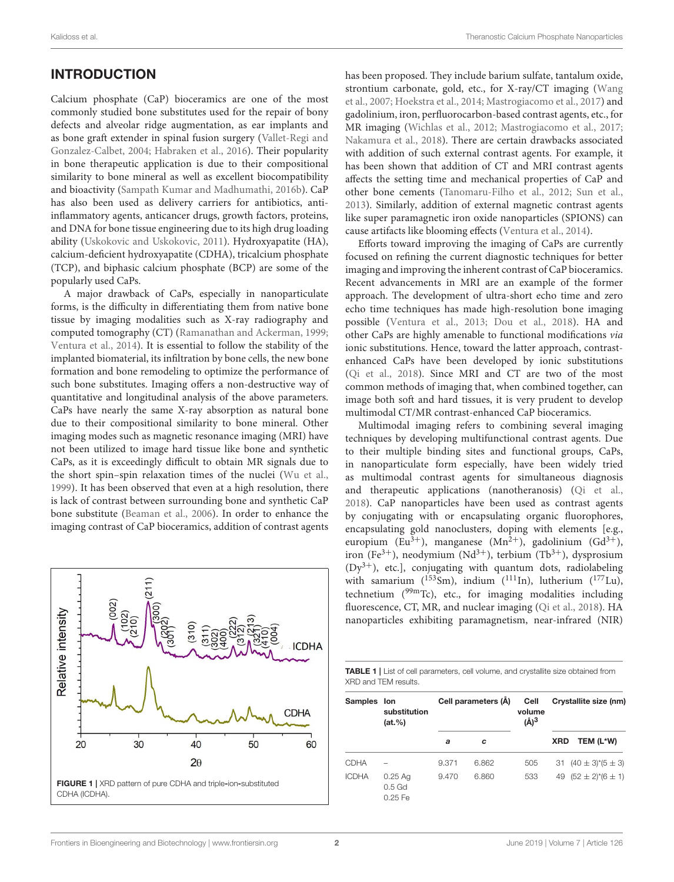## INTRODUCTION

Calcium phosphate (CaP) bioceramics are one of the most commonly studied bone substitutes used for the repair of bony defects and alveolar ridge augmentation, as ear implants and as bone graft extender in spinal fusion surgery (Vallet-Regi and Gonzalez-Calbet, [2004;](#page-9-0) [Habraken et al., 2016\)](#page-9-1). Their popularity in bone therapeutic application is due to their compositional similarity to bone mineral as well as excellent biocompatibility and bioactivity [\(Sampath Kumar and Madhumathi, 2016b\)](#page-9-2). CaP has also been used as delivery carriers for antibiotics, antiinflammatory agents, anticancer drugs, growth factors, proteins, and DNA for bone tissue engineering due to its high drug loading ability [\(Uskokovic and Uskokovic, 2011\)](#page-9-3). Hydroxyapatite (HA), calcium-deficient hydroxyapatite (CDHA), tricalcium phosphate (TCP), and biphasic calcium phosphate (BCP) are some of the popularly used CaPs.

A major drawback of CaPs, especially in nanoparticulate forms, is the difficulty in differentiating them from native bone tissue by imaging modalities such as X-ray radiography and computed tomography (CT) [\(Ramanathan and Ackerman, 1999;](#page-9-4) [Ventura et al., 2014\)](#page-9-5). It is essential to follow the stability of the implanted biomaterial, its infiltration by bone cells, the new bone formation and bone remodeling to optimize the performance of such bone substitutes. Imaging offers a non-destructive way of quantitative and longitudinal analysis of the above parameters. CaPs have nearly the same X-ray absorption as natural bone due to their compositional similarity to bone mineral. Other imaging modes such as magnetic resonance imaging (MRI) have not been utilized to image hard tissue like bone and synthetic CaPs, as it is exceedingly difficult to obtain MR signals due to the short spin–spin relaxation times of the nuclei [\(Wu et al.,](#page-9-6) [1999\)](#page-9-6). It has been observed that even at a high resolution, there is lack of contrast between surrounding bone and synthetic CaP bone substitute [\(Beaman et al., 2006\)](#page-9-7). In order to enhance the imaging contrast of CaP bioceramics, addition of contrast agents

<span id="page-1-0"></span>

has been proposed. They include barium sulfate, tantalum oxide, strontium carbonate, gold, etc., for X-ray/CT imaging (Wang et al., [2007;](#page-9-8) [Hoekstra et al., 2014;](#page-9-9) [Mastrogiacomo et al., 2017\)](#page-9-10) and gadolinium, iron, perfluorocarbon-based contrast agents, etc., for MR imaging [\(Wichlas et al., 2012;](#page-9-11) [Mastrogiacomo et al., 2017;](#page-9-10) [Nakamura et al., 2018\)](#page-9-12). There are certain drawbacks associated with addition of such external contrast agents. For example, it has been shown that addition of CT and MRI contrast agents affects the setting time and mechanical properties of CaP and other bone cements [\(Tanomaru-Filho et al., 2012;](#page-9-13) [Sun et al.,](#page-9-14) [2013\)](#page-9-14). Similarly, addition of external magnetic contrast agents like super paramagnetic iron oxide nanoparticles (SPIONS) can cause artifacts like blooming effects [\(Ventura et al., 2014\)](#page-9-5).

Efforts toward improving the imaging of CaPs are currently focused on refining the current diagnostic techniques for better imaging and improving the inherent contrast of CaP bioceramics. Recent advancements in MRI are an example of the former approach. The development of ultra-short echo time and zero echo time techniques has made high-resolution bone imaging possible [\(Ventura et al., 2013;](#page-9-15) [Dou et al., 2018\)](#page-9-16). HA and other CaPs are highly amenable to functional modifications via ionic substitutions. Hence, toward the latter approach, contrastenhanced CaPs have been developed by ionic substitutions [\(Qi et al., 2018\)](#page-9-17). Since MRI and CT are two of the most common methods of imaging that, when combined together, can image both soft and hard tissues, it is very prudent to develop multimodal CT/MR contrast-enhanced CaP bioceramics.

Multimodal imaging refers to combining several imaging techniques by developing multifunctional contrast agents. Due to their multiple binding sites and functional groups, CaPs, in nanoparticulate form especially, have been widely tried as multimodal contrast agents for simultaneous diagnosis and therapeutic applications (nanotheranosis) [\(Qi et al.,](#page-9-17) [2018\)](#page-9-17). CaP nanoparticles have been used as contrast agents by conjugating with or encapsulating organic fluorophores, encapsulating gold nanoclusters, doping with elements [e.g., europium (Eu<sup>3+</sup>), manganese (Mn<sup>2+</sup>), gadolinium (Gd<sup>3+</sup>), iron (Fe<sup>3+</sup>), neodymium (Nd<sup>3+</sup>), terbium (Tb<sup>3+</sup>), dysprosium  $(Dy<sup>3+</sup>)$ , etc.], conjugating with quantum dots, radiolabeling with samarium  $(153\text{Sm})$ , indium  $(111\text{In})$ , lutherium  $(177\text{Lu})$ , technetium (99mTc), etc., for imaging modalities including fluorescence, CT, MR, and nuclear imaging [\(Qi et al., 2018\)](#page-9-17). HA nanoparticles exhibiting paramagnetism, near-infrared (NIR)

<span id="page-1-1"></span>

| <b>TABLE 1</b>   List of cell parameters, cell volume, and crystallite size obtained from |  |  |
|-------------------------------------------------------------------------------------------|--|--|
| XRD and TEM results.                                                                      |  |  |

| Samples Ion  | substitution<br>(at. %)          | Cell parameters (A) |       | Cell<br>volume<br>$(\AA)^3$ | Crystallite size (nm) |                                          |
|--------------|----------------------------------|---------------------|-------|-----------------------------|-----------------------|------------------------------------------|
|              |                                  | a                   | c     |                             | <b>XRD</b>            | TEM (L*W)                                |
| <b>CDHA</b>  |                                  | 9.371               | 6.862 | 505                         |                       | 31 $(40 \pm 3)*(5 \pm 3)$                |
| <b>ICDHA</b> | $0.25$ Aq<br>$0.5$ Gd<br>0.25 Fe | 9.470               | 6.860 | 533                         |                       | 49 $(52 \pm 2)$ <sup>*</sup> $(6 \pm 1)$ |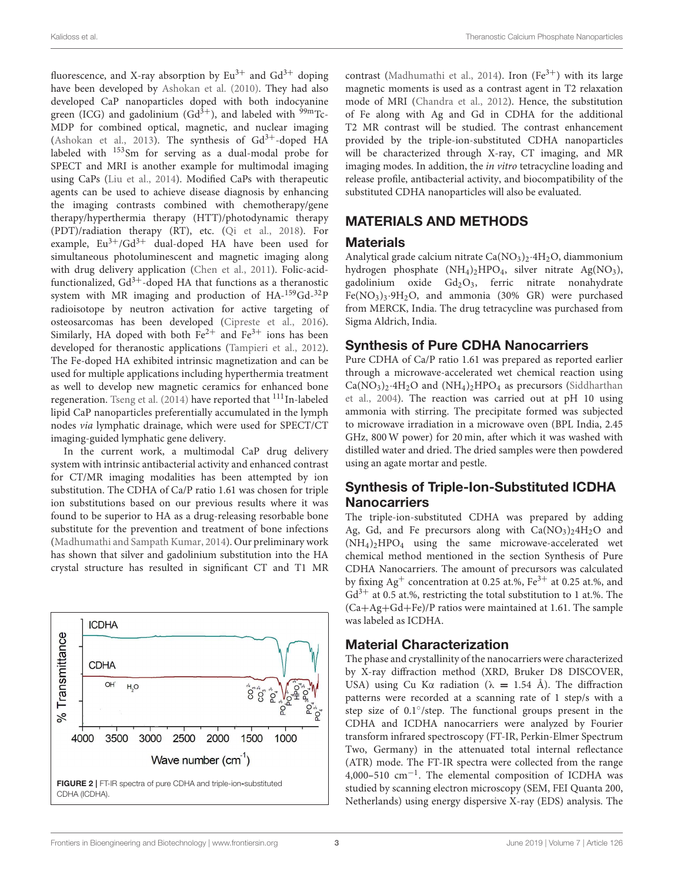Kalidoss et al. Theranostic Calcium Phosphate Nanoparticles

fluorescence, and X-ray absorption by  $Eu^{3+}$  and  $Gd^{3+}$  doping have been developed by [Ashokan et al. \(2010\)](#page-8-0). They had also developed CaP nanoparticles doped with both indocyanine green (ICG) and gadolinium  $(Gd<sup>3+</sup>)$ , and labeled with <sup>99m</sup>Tc-MDP for combined optical, magnetic, and nuclear imaging [\(Ashokan et al., 2013\)](#page-8-1). The synthesis of  $Gd^{3+}$ -doped HA labeled with <sup>153</sup>Sm for serving as a dual-modal probe for SPECT and MRI is another example for multimodal imaging using CaPs [\(Liu et al., 2014\)](#page-9-18). Modified CaPs with therapeutic agents can be used to achieve disease diagnosis by enhancing the imaging contrasts combined with chemotherapy/gene therapy/hyperthermia therapy (HTT)/photodynamic therapy (PDT)/radiation therapy (RT), etc. [\(Qi et al., 2018\)](#page-9-17). For example,  $Eu^{3+}/Gd^{3+}$  dual-doped HA have been used for simultaneous photoluminescent and magnetic imaging along with drug delivery application [\(Chen et al., 2011\)](#page-9-19). Folic-acidfunctionalized,  $Gd^{3+}$ -doped HA that functions as a theranostic system with MR imaging and production of HA-159Gd-32P radioisotope by neutron activation for active targeting of osteosarcomas has been developed [\(Cipreste et al., 2016\)](#page-9-20). Similarly, HA doped with both  $Fe^{2+}$  and  $Fe^{3+}$  ions has been developed for theranostic applications [\(Tampieri et al., 2012\)](#page-9-21). The Fe-doped HA exhibited intrinsic magnetization and can be used for multiple applications including hyperthermia treatment as well to develop new magnetic ceramics for enhanced bone regeneration. [Tseng et al. \(2014\)](#page-9-22) have reported that <sup>111</sup>In-labeled lipid CaP nanoparticles preferentially accumulated in the lymph nodes via lymphatic drainage, which were used for SPECT/CT imaging-guided lymphatic gene delivery.

In the current work, a multimodal CaP drug delivery system with intrinsic antibacterial activity and enhanced contrast for CT/MR imaging modalities has been attempted by ion substitution. The CDHA of Ca/P ratio 1.61 was chosen for triple ion substitutions based on our previous results where it was found to be superior to HA as a drug-releasing resorbable bone substitute for the prevention and treatment of bone infections [\(Madhumathi and Sampath Kumar, 2014\)](#page-9-23). Our preliminary work has shown that silver and gadolinium substitution into the HA crystal structure has resulted in significant CT and T1 MR

<span id="page-2-0"></span>

contrast [\(Madhumathi et al., 2014\)](#page-9-24). Iron  $(Fe^{3+})$  with its large magnetic moments is used as a contrast agent in T2 relaxation mode of MRI [\(Chandra et al., 2012\)](#page-9-25). Hence, the substitution of Fe along with Ag and Gd in CDHA for the additional T2 MR contrast will be studied. The contrast enhancement provided by the triple-ion-substituted CDHA nanoparticles will be characterized through X-ray, CT imaging, and MR imaging modes. In addition, the in vitro tetracycline loading and release profile, antibacterial activity, and biocompatibility of the substituted CDHA nanoparticles will also be evaluated.

### MATERIALS AND METHODS

#### **Materials**

Analytical grade calcium nitrate  $Ca(NO<sub>3</sub>)<sub>2</sub>·4H<sub>2</sub>O$ , diammonium hydrogen phosphate (NH<sub>4</sub>)<sub>2</sub>HPO<sub>4</sub>, silver nitrate Ag(NO<sub>3</sub>), gadolinium oxide  $Gd_2O_3$ , ferric nitrate nonahydrate  $Fe(NO<sub>3</sub>)<sub>3</sub>·9H<sub>2</sub>O$ , and ammonia (30% GR) were purchased from MERCK, India. The drug tetracycline was purchased from Sigma Aldrich, India.

#### Synthesis of Pure CDHA Nanocarriers

Pure CDHA of Ca/P ratio 1.61 was prepared as reported earlier through a microwave-accelerated wet chemical reaction using  $Ca(NO<sub>3</sub>)<sub>2</sub>·4H<sub>2</sub>O$  and  $(NH<sub>4</sub>)<sub>2</sub>HPO<sub>4</sub>$  as precursors (Siddharthan et al., [2004\)](#page-9-26). The reaction was carried out at pH 10 using ammonia with stirring. The precipitate formed was subjected to microwave irradiation in a microwave oven (BPL India, 2.45 GHz, 800 W power) for 20 min, after which it was washed with distilled water and dried. The dried samples were then powdered using an agate mortar and pestle.

## Synthesis of Triple-Ion-Substituted ICDHA **Nanocarriers**

The triple-ion-substituted CDHA was prepared by adding Ag, Gd, and Fe precursors along with  $Ca(NO<sub>3</sub>)<sub>2</sub>4H<sub>2</sub>O$  and  $(NH_4)_2HPO_4$  using the same microwave-accelerated wet chemical method mentioned in the section Synthesis of Pure CDHA Nanocarriers. The amount of precursors was calculated by fixing  $Ag^+$  concentration at 0.25 at.%, Fe<sup>3+</sup> at 0.25 at.%, and  $Gd^{3+}$  at 0.5 at.%, restricting the total substitution to 1 at.%. The (Ca+Ag+Gd+Fe)/P ratios were maintained at 1.61. The sample was labeled as ICDHA.

#### Material Characterization

The phase and crystallinity of the nanocarriers were characterized by X-ray diffraction method (XRD, Bruker D8 DISCOVER, USA) using Cu K $\alpha$  radiation ( $\lambda = 1.54$  Å). The diffraction patterns were recorded at a scanning rate of 1 step/s with a step size of 0.1°/step. The functional groups present in the CDHA and ICDHA nanocarriers were analyzed by Fourier transform infrared spectroscopy (FT-IR, Perkin-Elmer Spectrum Two, Germany) in the attenuated total internal reflectance (ATR) mode. The FT-IR spectra were collected from the range 4,000**–**510 cm−<sup>1</sup> . The elemental composition of ICDHA was studied by scanning electron microscopy (SEM, FEI Quanta 200, Netherlands) using energy dispersive X-ray (EDS) analysis. The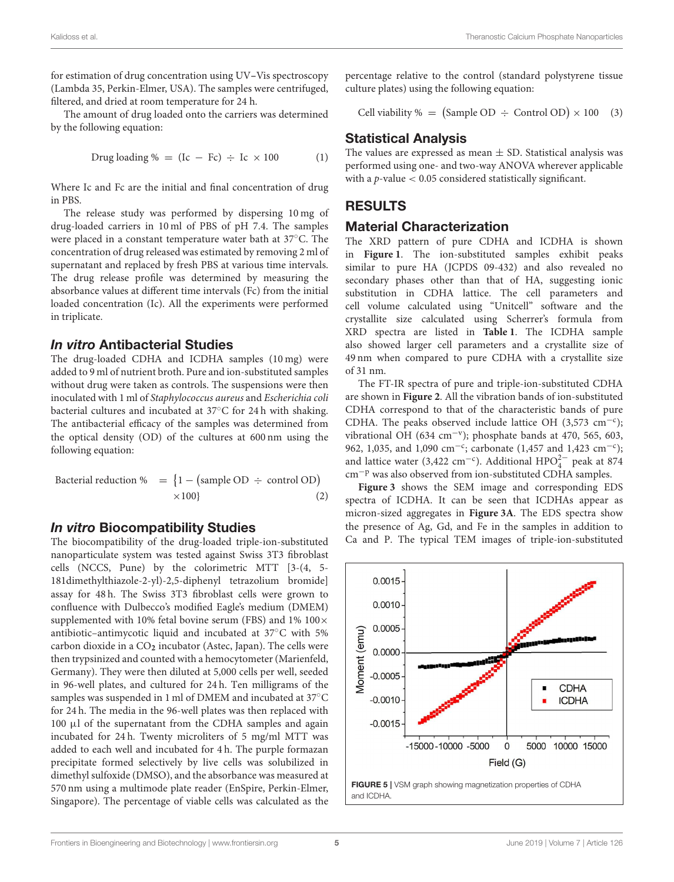for estimation of drug concentration using UV**–**Vis spectroscopy (Lambda 35, Perkin-Elmer, USA). The samples were centrifuged, filtered, and dried at room temperature for 24 h.

The amount of drug loaded onto the carriers was determined by the following equation:

$$
Drug loading \% = (Ic - Fc) \div Ic \times 100
$$
 (1)

Where Ic and Fc are the initial and final concentration of drug in PBS.

The release study was performed by dispersing 10 mg of drug-loaded carriers in 10 ml of PBS of pH 7.4. The samples were placed in a constant temperature water bath at 37◦C. The concentration of drug released was estimated by removing 2 ml of supernatant and replaced by fresh PBS at various time intervals. The drug release profile was determined by measuring the absorbance values at different time intervals (Fc) from the initial loaded concentration (Ic). All the experiments were performed in triplicate.

#### In vitro Antibacterial Studies

The drug-loaded CDHA and ICDHA samples (10 mg) were added to 9 ml of nutrient broth. Pure and ion-substituted samples without drug were taken as controls. The suspensions were then inoculated with 1 ml of Staphylococcus aureus and Escherichia coli bacterial cultures and incubated at 37◦C for 24 h with shaking. The antibacterial efficacy of the samples was determined from the optical density (OD) of the cultures at 600 nm using the following equation:

$$
Bacterial reduction % = \{1 - (sample OD \div control OD) \times 100\}
$$
 (2)

#### In vitro Biocompatibility Studies

The biocompatibility of the drug-loaded triple-ion-substituted nanoparticulate system was tested against Swiss 3T3 fibroblast cells (NCCS, Pune) by the colorimetric MTT [3-(4, 5- 181dimethylthiazole-2-yl)-2,5-diphenyl tetrazolium bromide] assay for 48 h. The Swiss 3T3 fibroblast cells were grown to confluence with Dulbecco's modified Eagle's medium (DMEM) supplemented with 10% fetal bovine serum (FBS) and  $1\%$  100 $\times$ antibiotic–antimycotic liquid and incubated at 37◦C with 5% carbon dioxide in a CO**<sup>2</sup>** incubator (Astec, Japan). The cells were then trypsinized and counted with a hemocytometer (Marienfeld, Germany). They were then diluted at 5,000 cells per well, seeded in 96-well plates, and cultured for 24 h. Ten milligrams of the samples was suspended in 1 ml of DMEM and incubated at 37°C for 24 h. The media in the 96-well plates was then replaced with 100 µl of the supernatant from the CDHA samples and again incubated for 24 h. Twenty microliters of 5 mg/ml MTT was added to each well and incubated for 4 h. The purple formazan precipitate formed selectively by live cells was solubilized in dimethyl sulfoxide (DMSO), and the absorbance was measured at 570 nm using a multimode plate reader (EnSpire, Perkin-Elmer, Singapore). The percentage of viable cells was calculated as the percentage relative to the control (standard polystyrene tissue culture plates) using the following equation:

Cell viability % = (Sample OD  $\div$  Control OD)  $\times$  100 (3)

#### Statistical Analysis

The values are expressed as mean  $\pm$  SD. Statistical analysis was performed using one- and two-way ANOVA wherever applicable with a  $p$ -value  $< 0.05$  considered statistically significant.

#### RESULTS

#### Material Characterization

The XRD pattern of pure CDHA and ICDHA is shown in **[Figure 1](#page-1-0)**. The ion-substituted samples exhibit peaks similar to pure HA (JCPDS 09-432) and also revealed no secondary phases other than that of HA, suggesting ionic substitution in CDHA lattice. The cell parameters and cell volume calculated using "Unitcell" software and the crystallite size calculated using Scherrer's formula from XRD spectra are listed in **[Table 1](#page-1-1)**. The ICDHA sample also showed larger cell parameters and a crystallite size of 49 nm when compared to pure CDHA with a crystallite size of 31 nm.

The FT-IR spectra of pure and triple-ion-substituted CDHA are shown in **[Figure 2](#page-2-0)**. All the vibration bands of ion-substituted CDHA correspond to that of the characteristic bands of pure CDHA. The peaks observed include lattice OH (3,573 cm<sup>-c</sup>); vibrational OH (634 cm−<sup>v</sup> ); phosphate bands at 470, 565, 603, 962, 1,035, and 1,090 cm<sup>-c</sup>; carbonate (1,457 and 1,423 cm<sup>-c</sup>); and lattice water (3,422 cm<sup>-c</sup>). Additional HPO<sup>2</sup><sup>-</sup> peak at 874 cm−<sup>p</sup> was also observed from ion-substituted CDHA samples.

**[Figure 3](#page-3-0)** shows the SEM image and corresponding EDS spectra of ICDHA. It can be seen that ICDHAs appear as micron-sized aggregates in **[Figure 3A](#page-3-0)**. The EDS spectra show the presence of Ag, Gd, and Fe in the samples in addition to Ca and P. The typical TEM images of triple-ion-substituted

<span id="page-4-0"></span>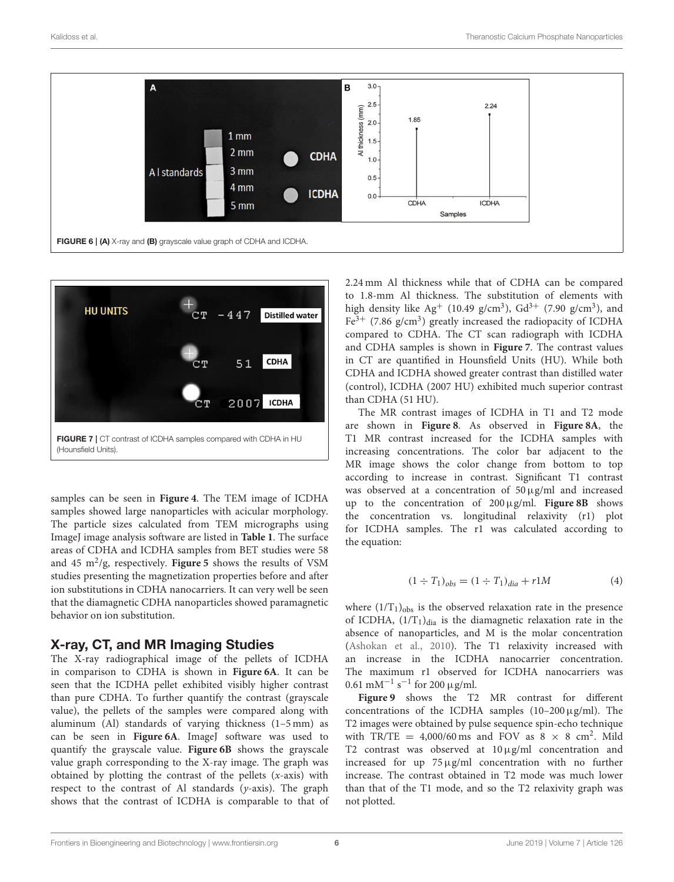

<span id="page-5-0"></span>

<span id="page-5-1"></span>samples can be seen in **[Figure 4](#page-3-1)**. The TEM image of ICDHA samples showed large nanoparticles with acicular morphology. The particle sizes calculated from TEM micrographs using ImageJ image analysis software are listed in **[Table 1](#page-1-1)**. The surface areas of CDHA and ICDHA samples from BET studies were 58 and 45 m<sup>2</sup>/g, respectively. [Figure 5](#page-4-0) shows the results of VSM studies presenting the magnetization properties before and after ion substitutions in CDHA nanocarriers. It can very well be seen that the diamagnetic CDHA nanoparticles showed paramagnetic behavior on ion substitution.

#### X-ray, CT, and MR Imaging Studies

The X-ray radiographical image of the pellets of ICDHA in comparison to CDHA is shown in **[Figure 6A](#page-5-0)**. It can be seen that the ICDHA pellet exhibited visibly higher contrast than pure CDHA. To further quantify the contrast (grayscale value), the pellets of the samples were compared along with aluminum (Al) standards of varying thickness (1–5 mm) as can be seen in **[Figure 6A](#page-5-0)**. ImageJ software was used to quantify the grayscale value. **[Figure 6B](#page-5-0)** shows the grayscale value graph corresponding to the X-ray image. The graph was obtained by plotting the contrast of the pellets  $(x\text{-axis})$  with respect to the contrast of Al standards (y-axis). The graph shows that the contrast of ICDHA is comparable to that of 2.24 mm Al thickness while that of CDHA can be compared to 1.8-mm Al thickness. The substitution of elements with high density like  $Ag^+$  (10.49 g/cm<sup>3</sup>),  $Gd^{3+}$  (7.90 g/cm<sup>3</sup>), and  $Fe<sup>3+</sup>$  (7.86 g/cm<sup>3</sup>) greatly increased the radiopacity of ICDHA compared to CDHA. The CT scan radiograph with ICDHA and CDHA samples is shown in **[Figure 7](#page-5-1)**. The contrast values in CT are quantified in Hounsfield Units (HU). While both CDHA and ICDHA showed greater contrast than distilled water (control), ICDHA (2007 HU) exhibited much superior contrast than CDHA (51 HU).

The MR contrast images of ICDHA in T1 and T2 mode are shown in **[Figure 8](#page-6-0)**. As observed in **[Figure 8A](#page-6-0)**, the T1 MR contrast increased for the ICDHA samples with increasing concentrations. The color bar adjacent to the MR image shows the color change from bottom to top according to increase in contrast. Significant T1 contrast was observed at a concentration of 50µg/ml and increased up to the concentration of 200µg/ml. **[Figure 8B](#page-6-0)** shows the concentration vs. longitudinal relaxivity (r1) plot for ICDHA samples. The r1 was calculated according to the equation:

$$
(1 \div T_1)_{obs} = (1 \div T_1)_{dia} + r1M \tag{4}
$$

where  $(1/T_1)_{obs}$  is the observed relaxation rate in the presence of ICDHA,  $(1/T_1)_{\text{dia}}$  is the diamagnetic relaxation rate in the absence of nanoparticles, and M is the molar concentration [\(Ashokan et al., 2010\)](#page-8-0). The T1 relaxivity increased with an increase in the ICDHA nanocarrier concentration. The maximum r1 observed for ICDHA nanocarriers was 0.61 mM<sup>-1</sup> s<sup>-1</sup> for 200 µg/ml.

**[Figure 9](#page-6-1)** shows the T2 MR contrast for different concentrations of the ICDHA samples  $(10-200 \,\mu\text{g/ml})$ . The T2 images were obtained by pulse sequence spin-echo technique with TR/TE =  $4,000/60$  ms and FOV as  $8 \times 8$  cm<sup>2</sup>. Mild T2 contrast was observed at  $10 \mu$ g/ml concentration and increased for up  $75 \mu g/ml$  concentration with no further increase. The contrast obtained in T2 mode was much lower than that of the T1 mode, and so the T2 relaxivity graph was not plotted.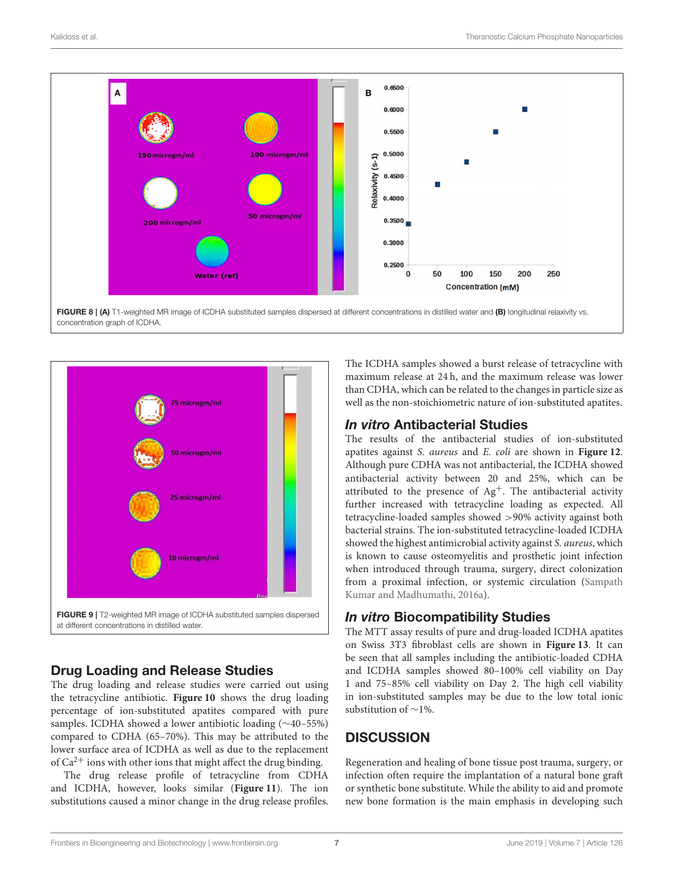

<span id="page-6-0"></span>FIGURE 8 | (A) T1-weighted MR image of ICDHA substituted samples dispersed at different concentrations in distilled water and (B) longitudinal relaxivity vs. concentration graph of ICDHA.



# <span id="page-6-1"></span>Drug Loading and Release Studies

The drug loading and release studies were carried out using the tetracycline antibiotic. **[Figure 10](#page-7-0)** shows the drug loading percentage of ion-substituted apatites compared with pure samples. ICDHA showed a lower antibiotic loading (∼40–55%) compared to CDHA (65–70%). This may be attributed to the lower surface area of ICDHA as well as due to the replacement of  $Ca^{2+}$  ions with other ions that might affect the drug binding.

The drug release profile of tetracycline from CDHA and ICDHA, however, looks similar (**[Figure 11](#page-7-1)**). The ion substitutions caused a minor change in the drug release profiles. The ICDHA samples showed a burst release of tetracycline with maximum release at 24 h, and the maximum release was lower than CDHA, which can be related to the changes in particle size as well as the non-stoichiometric nature of ion-substituted apatites.

# In vitro Antibacterial Studies

The results of the antibacterial studies of ion-substituted apatites against S. aureus and E. coli are shown in **[Figure 12](#page-7-2)**. Although pure CDHA was not antibacterial, the ICDHA showed antibacterial activity between 20 and 25%, which can be attributed to the presence of  $Ag^+$ . The antibacterial activity further increased with tetracycline loading as expected. All tetracycline-loaded samples showed >90% activity against both bacterial strains. The ion-substituted tetracycline-loaded ICDHA showed the highest antimicrobial activity against S. aureus, which is known to cause osteomyelitis and prosthetic joint infection when introduced through trauma, surgery, direct colonization from a proximal infection, or systemic circulation (Sampath Kumar and Madhumathi, [2016a\)](#page-9-27).

# In vitro Biocompatibility Studies

The MTT assay results of pure and drug-loaded ICDHA apatites on Swiss 3T3 fibroblast cells are shown in **[Figure 13](#page-7-3)**. It can be seen that all samples including the antibiotic-loaded CDHA and ICDHA samples showed 80–100% cell viability on Day 1 and 75–85% cell viability on Day 2. The high cell viability in ion-substituted samples may be due to the low total ionic substitution of ∼1%.

# **DISCUSSION**

Regeneration and healing of bone tissue post trauma, surgery, or infection often require the implantation of a natural bone graft or synthetic bone substitute. While the ability to aid and promote new bone formation is the main emphasis in developing such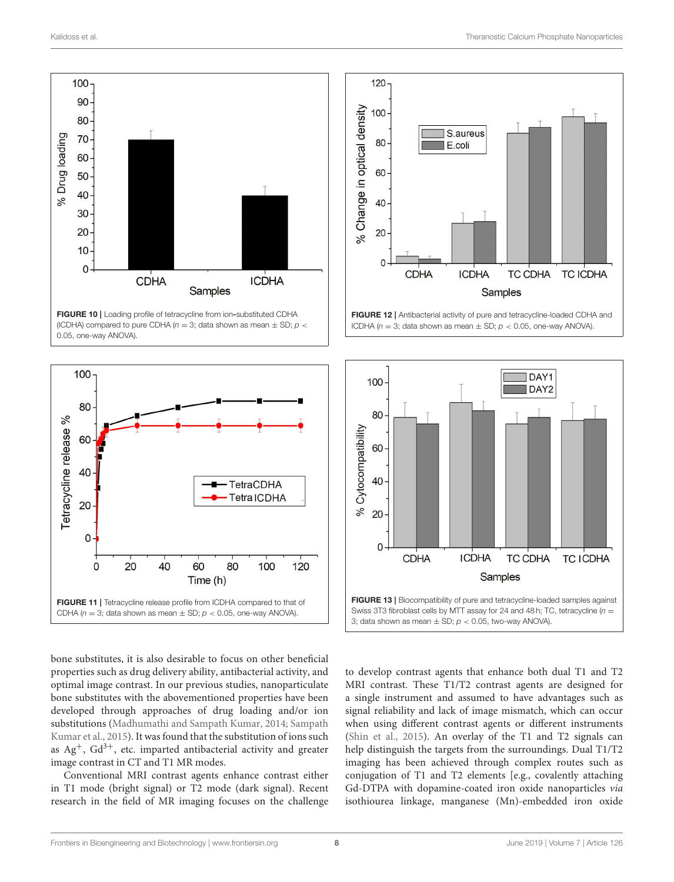

<span id="page-7-0"></span>FIGURE 10 | Loading profile of tetracycline from ion-substituted CDHA (ICDHA) compared to pure CDHA ( $n = 3$ ; data shown as mean  $\pm$  SD;  $p <$ 0.05, one-way ANOVA).



<span id="page-7-1"></span>bone substitutes, it is also desirable to focus on other beneficial properties such as drug delivery ability, antibacterial activity, and optimal image contrast. In our previous studies, nanoparticulate bone substitutes with the abovementioned properties have been developed through approaches of drug loading and/or ion substitutions [\(Madhumathi and Sampath Kumar, 2014;](#page-9-23) Sampath Kumar et al., [2015\)](#page-9-28). It was found that the substitution of ions such as  $Ag^+$ ,  $Gd^{3+}$ , etc. imparted antibacterial activity and greater image contrast in CT and T1 MR modes.

Conventional MRI contrast agents enhance contrast either in T1 mode (bright signal) or T2 mode (dark signal). Recent research in the field of MR imaging focuses on the challenge



<span id="page-7-2"></span>FIGURE 12 | Antibacterial activity of pure and tetracycline-loaded CDHA and ICDHA ( $n = 3$ ; data shown as mean  $\pm$  SD;  $p < 0.05$ , one-way ANOVA).



<span id="page-7-3"></span>to develop contrast agents that enhance both dual T1 and T2 MRI contrast. These T1/T2 contrast agents are designed for a single instrument and assumed to have advantages such as signal reliability and lack of image mismatch, which can occur when using different contrast agents or different instruments [\(Shin et al., 2015\)](#page-9-29). An overlay of the T1 and T2 signals can help distinguish the targets from the surroundings. Dual T1/T2 imaging has been achieved through complex routes such as conjugation of T1 and T2 elements [e.g., covalently attaching Gd-DTPA with dopamine-coated iron oxide nanoparticles via isothiourea linkage, manganese (Mn)-embedded iron oxide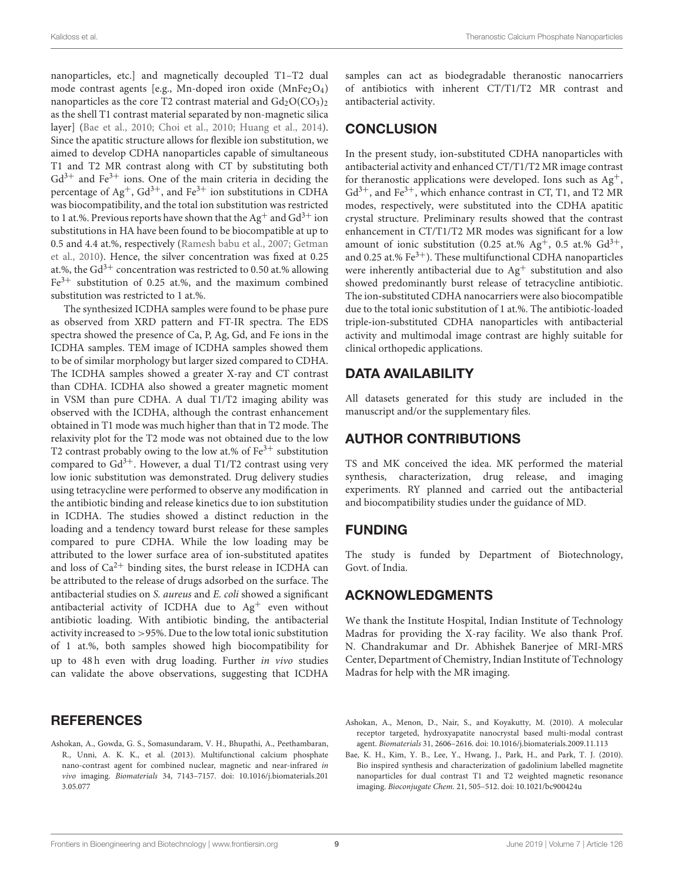nanoparticles, etc.] and magnetically decoupled T1–T2 dual mode contrast agents [e.g., Mn-doped iron oxide  $(MnFe<sub>2</sub>O<sub>4</sub>)$ ] nanoparticles as the core T2 contrast material and  $Gd_2O(CO_3)_2$ as the shell T1 contrast material separated by non-magnetic silica layer] [\(Bae et al., 2010;](#page-8-2) [Choi et al., 2010;](#page-9-30) [Huang et al., 2014\)](#page-9-31). Since the apatitic structure allows for flexible ion substitution, we aimed to develop CDHA nanoparticles capable of simultaneous T1 and T2 MR contrast along with CT by substituting both  $Gd^{3+}$  and Fe<sup>3+</sup> ions. One of the main criteria in deciding the percentage of Ag<sup>+</sup>, Gd<sup>3+</sup>, and Fe<sup>3+</sup> ion substitutions in CDHA was biocompatibility, and the total ion substitution was restricted to 1 at.%. Previous reports have shown that the Ag<sup>+</sup> and  $Gd^{3+}$  ion substitutions in HA have been found to be biocompatible at up to 0.5 and 4.4 at.%, respectively [\(Ramesh babu et al., 2007;](#page-9-32) Getman et al., [2010\)](#page-9-33). Hence, the silver concentration was fixed at 0.25 at.%, the Gd<sup>3+</sup> concentration was restricted to 0.50 at.% allowing  $Fe<sup>3+</sup>$  substitution of 0.25 at.%, and the maximum combined substitution was restricted to 1 at.%.

The synthesized ICDHA samples were found to be phase pure as observed from XRD pattern and FT-IR spectra. The EDS spectra showed the presence of Ca, P, Ag, Gd, and Fe ions in the ICDHA samples. TEM image of ICDHA samples showed them to be of similar morphology but larger sized compared to CDHA. The ICDHA samples showed a greater X-ray and CT contrast than CDHA. ICDHA also showed a greater magnetic moment in VSM than pure CDHA. A dual T1/T2 imaging ability was observed with the ICDHA, although the contrast enhancement obtained in T1 mode was much higher than that in T2 mode. The relaxivity plot for the T2 mode was not obtained due to the low T2 contrast probably owing to the low at.% of  $Fe<sup>3+</sup>$  substitution compared to  $Gd^{3+}$ . However, a dual T1/T2 contrast using very low ionic substitution was demonstrated. Drug delivery studies using tetracycline were performed to observe any modification in the antibiotic binding and release kinetics due to ion substitution in ICDHA. The studies showed a distinct reduction in the loading and a tendency toward burst release for these samples compared to pure CDHA. While the low loading may be attributed to the lower surface area of ion**-**substituted apatites and loss of  $Ca^{2+}$  binding sites, the burst release in ICDHA can be attributed to the release of drugs adsorbed on the surface. The antibacterial studies on S. aureus and E. coli showed a significant antibacterial activity of ICDHA due to Ag<sup>+</sup> even without antibiotic loading. With antibiotic binding, the antibacterial activity increased to >95%. Due to the low total ionic substitution of 1 at.%, both samples showed high biocompatibility for up to 48 h even with drug loading. Further in vivo studies can validate the above observations, suggesting that ICDHA

#### **REFERENCES**

<span id="page-8-1"></span>Ashokan, A., Gowda, G. S., Somasundaram, V. H., Bhupathi, A., Peethambaran, R., Unni, A. K. K., et al. (2013). Multifunctional calcium phosphate nano-contrast agent for combined nuclear, magnetic and near-infrared in vivo imaging. Biomaterials [34, 7143–7157. doi: 10.1016/j.biomaterials.201](https://doi.org/10.1016/j.biomaterials.2013.05.077) 3.05.077

samples can act as biodegradable theranostic nanocarriers of antibiotics with inherent CT/T1/T2 MR contrast and antibacterial activity.

## **CONCLUSION**

In the present study, ion**-**substituted CDHA nanoparticles with antibacterial activity and enhanced CT/T1/T2 MR image contrast for theranostic applications were developed. Ions such as  $Ag^+$ ,  $Gd^{3+}$ , and Fe<sup>3+</sup>, which enhance contrast in CT, T1, and T2 MR modes, respectively, were substituted into the CDHA apatitic crystal structure. Preliminary results showed that the contrast enhancement in CT/T1/T2 MR modes was significant for a low amount of ionic substitution (0.25 at.%  $Ag^+$ , 0.5 at.%  $Gd^{3+}$ , and 0.25 at.%  $Fe<sup>3+</sup>$ ). These multifunctional CDHA nanoparticles were inherently antibacterial due to  $Ag<sup>+</sup>$  substitution and also showed predominantly burst release of tetracycline antibiotic. The ion**-**substituted CDHA nanocarriers were also biocompatible due to the total ionic substitution of 1 at.%. The antibiotic-loaded triple**-**ion**-**substituted CDHA nanoparticles with antibacterial activity and multimodal image contrast are highly suitable for clinical orthopedic applications.

## DATA AVAILABILITY

All datasets generated for this study are included in the manuscript and/or the supplementary files.

## AUTHOR CONTRIBUTIONS

TS and MK conceived the idea. MK performed the material synthesis, characterization, drug release, and imaging experiments. RY planned and carried out the antibacterial and biocompatibility studies under the guidance of MD.

#### FUNDING

The study is funded by Department of Biotechnology, Govt. of India.

## ACKNOWLEDGMENTS

We thank the Institute Hospital, Indian Institute of Technology Madras for providing the X-ray facility. We also thank Prof. N. Chandrakumar and Dr. Abhishek Banerjee of MRI-MRS Center, Department of Chemistry, Indian Institute of Technology Madras for help with the MR imaging.

<span id="page-8-0"></span>Ashokan, A., Menon, D., Nair, S., and Koyakutty, M. (2010). A molecular receptor targeted, hydroxyapatite nanocrystal based multi-modal contrast agent. Biomaterials 31, 2606–2616. doi: [10.1016/j.biomaterials.2009.11.113](https://doi.org/10.1016/j.biomaterials.2009.11.113)

<span id="page-8-2"></span>Bae, K. H., Kim, Y. B., Lee, Y., Hwang, J., Park, H., and Park, T. J. (2010). Bio inspired synthesis and characterization of gadolinium labelled magnetite nanoparticles for dual contrast T1 and T2 weighted magnetic resonance imaging. Bioconjugate Chem. 21, 505–512. doi: [10.1021/bc900424u](https://doi.org/10.1021/bc900424u)